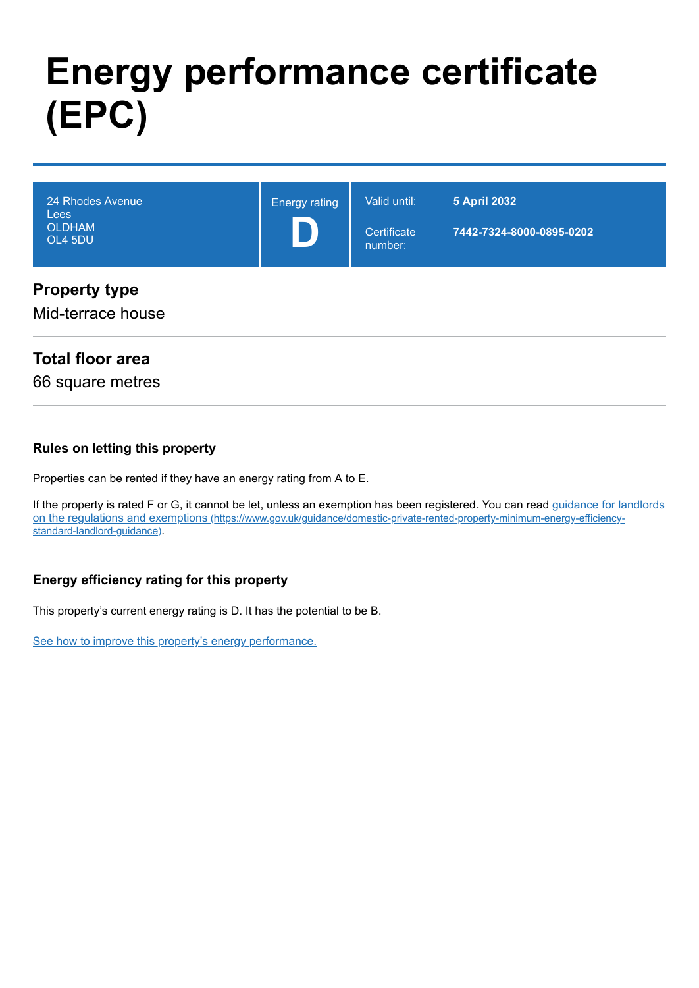# **Energy performance certificate (EPC)**

| 24 Rhodes Avenue<br><b>Lees</b><br><b>OLDHAM</b><br>OL4 5DU | <b>Energy rating</b> | Valid until:<br>Certificate<br>number: | <b>5 April 2032</b><br>7442-7324-8000-0895-0202 |
|-------------------------------------------------------------|----------------------|----------------------------------------|-------------------------------------------------|
| <b>Property type</b><br>Mid-terrace house                   |                      |                                        |                                                 |

### **Total floor area**

66 square metres

#### **Rules on letting this property**

Properties can be rented if they have an energy rating from A to E.

[If the property is rated F or G, it cannot be let, unless an exemption has been registered. You can read guidance for landlords](https://www.gov.uk/guidance/domestic-private-rented-property-minimum-energy-efficiency-standard-landlord-guidance) on the regulations and exemptions (https://www.gov.uk/guidance/domestic-private-rented-property-minimum-energy-efficiencystandard-landlord-guidance).

#### **Energy efficiency rating for this property**

This property's current energy rating is D. It has the potential to be B.

[See how to improve this property's energy performance.](#page-3-0)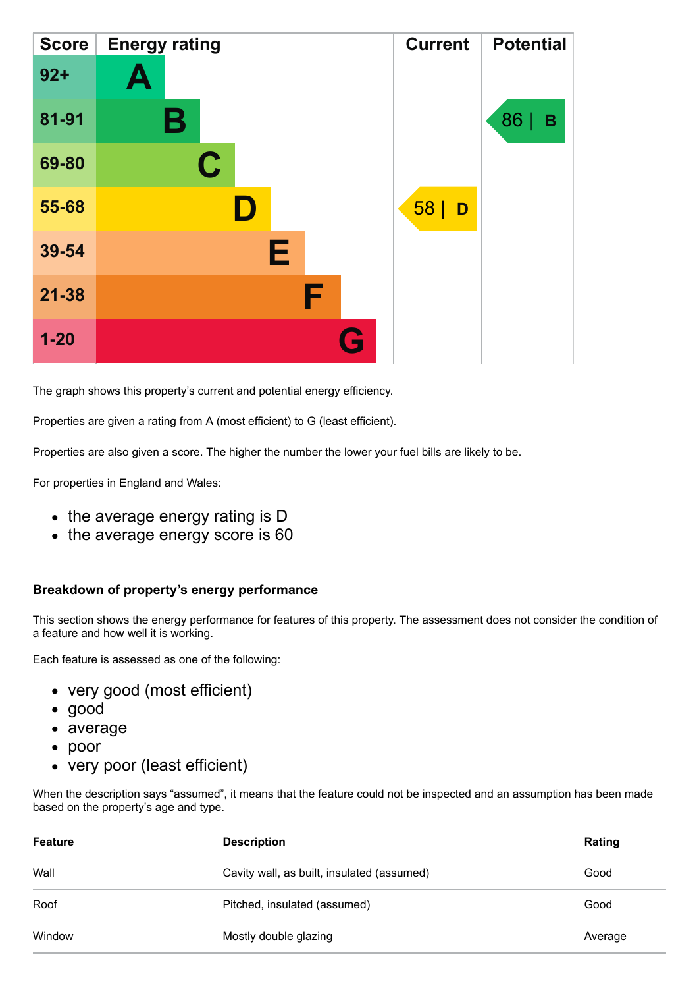| <b>Score</b> | <b>Energy rating</b> | <b>Current</b> | <b>Potential</b> |
|--------------|----------------------|----------------|------------------|
| $92 +$       | A                    |                |                  |
| 81-91        | В                    |                | 86<br>В          |
| 69-80        | $\mathbf C$          |                |                  |
| 55-68        |                      | 58 <br>D       |                  |
| 39-54        | Е                    |                |                  |
| $21 - 38$    | F                    |                |                  |
| $1 - 20$     | Q                    |                |                  |

The graph shows this property's current and potential energy efficiency.

Properties are given a rating from A (most efficient) to G (least efficient).

Properties are also given a score. The higher the number the lower your fuel bills are likely to be.

For properties in England and Wales:

- the average energy rating is D
- the average energy score is 60

#### **Breakdown of property's energy performance**

This section shows the energy performance for features of this property. The assessment does not consider the condition of a feature and how well it is working.

Each feature is assessed as one of the following:

- very good (most efficient)
- good
- average
- poor
- very poor (least efficient)

When the description says "assumed", it means that the feature could not be inspected and an assumption has been made based on the property's age and type.

| <b>Feature</b> | <b>Description</b>                         | Rating  |
|----------------|--------------------------------------------|---------|
| Wall           | Cavity wall, as built, insulated (assumed) | Good    |
| Roof           | Pitched, insulated (assumed)               | Good    |
| Window         | Mostly double glazing                      | Average |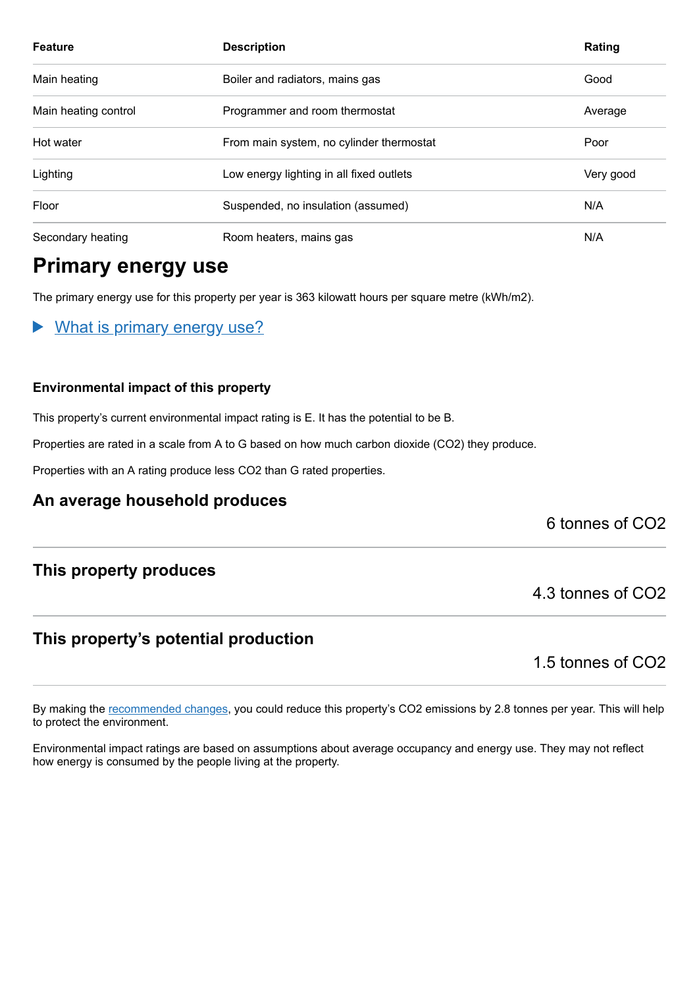| <b>Feature</b>       | <b>Description</b>                       | Rating    |
|----------------------|------------------------------------------|-----------|
| Main heating         | Boiler and radiators, mains gas          | Good      |
| Main heating control | Programmer and room thermostat           | Average   |
| Hot water            | From main system, no cylinder thermostat | Poor      |
| Lighting             | Low energy lighting in all fixed outlets | Very good |
| Floor                | Suspended, no insulation (assumed)       | N/A       |
| Secondary heating    | Room heaters, mains gas                  | N/A       |

### **Primary energy use**

The primary energy use for this property per year is 363 kilowatt hours per square metre (kWh/m2).

What is primary energy use?  $\blacktriangleright$ 

#### **Environmental impact of this property**

This property's current environmental impact rating is E. It has the potential to be B.

Properties are rated in a scale from A to G based on how much carbon dioxide (CO2) they produce.

Properties with an A rating produce less CO2 than G rated properties.

#### **An average household produces**

6 tonnes of CO2

### **This property produces**

### **This property's potential production**

1.5 tonnes of CO2

4.3 tonnes of CO2

By making the [recommended changes,](#page-3-0) you could reduce this property's CO2 emissions by 2.8 tonnes per year. This will help to protect the environment.

Environmental impact ratings are based on assumptions about average occupancy and energy use. They may not reflect how energy is consumed by the people living at the property.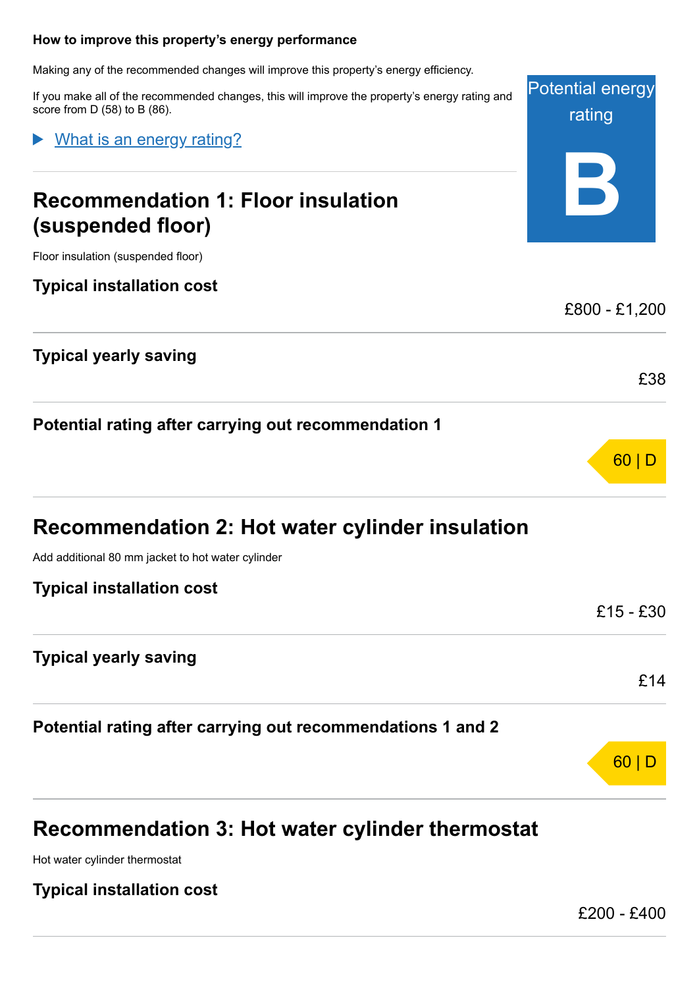#### <span id="page-3-0"></span>**How to improve this property's energy performance**

Making any of the recommended changes will improve this property's energy efficiency.

If you make all of the recommended changes, this will improve the property's energy rating and score from D (58) to B (86).

What is an energy rating?

# **Recommendation 1: Floor insulation (suspended floor)**

Floor insulation (suspended floor)

### **Typical installation cost**

### **Typical yearly saving**

**Potential rating after carrying out recommendation 1**

Add additional 80 mm jacket to hot water cylinder

### **Typical installation cost**

**Typical yearly saving**

**Potential rating after carrying out recommendations 1 and 2**

### **Recommendation 3: Hot water cylinder thermostat**

Hot water cylinder thermostat

### **Typical installation cost**

£200 - £400

60 | D

Potential energy

rating

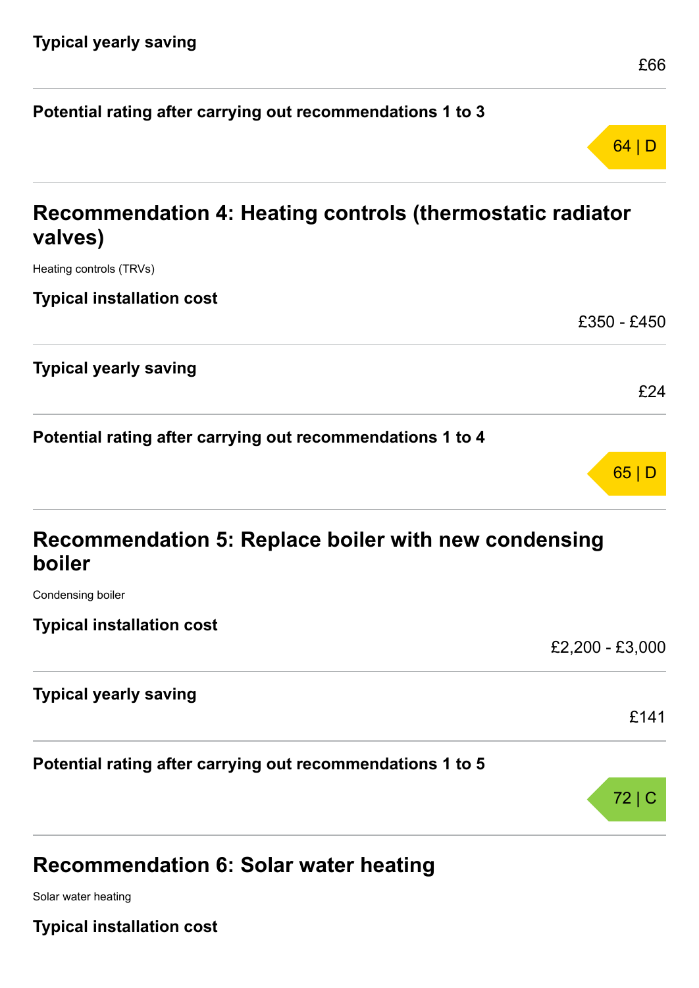| Potential rating after carrying out recommendations 1 to 3           |             |
|----------------------------------------------------------------------|-------------|
|                                                                      | 64 D        |
| Recommendation 4: Heating controls (thermostatic radiator<br>valves) |             |
| Heating controls (TRVs)                                              |             |
| <b>Typical installation cost</b>                                     |             |
|                                                                      | £350 - £450 |
| <b>Typical yearly saving</b>                                         |             |

**Potential rating after carrying out recommendations 1 to 4**

| Recommendation 5: Replace boiler with new condensing |  |
|------------------------------------------------------|--|
| boiler                                               |  |

Condensing boiler

**Typical installation cost**

£2,200 - £3,000 **Typical yearly saving** £141 **Potential rating after carrying out recommendations 1 to 5** 72 | C

# **Recommendation 6: Solar water heating**

Solar water heating

**Typical installation cost**

£24

65 | D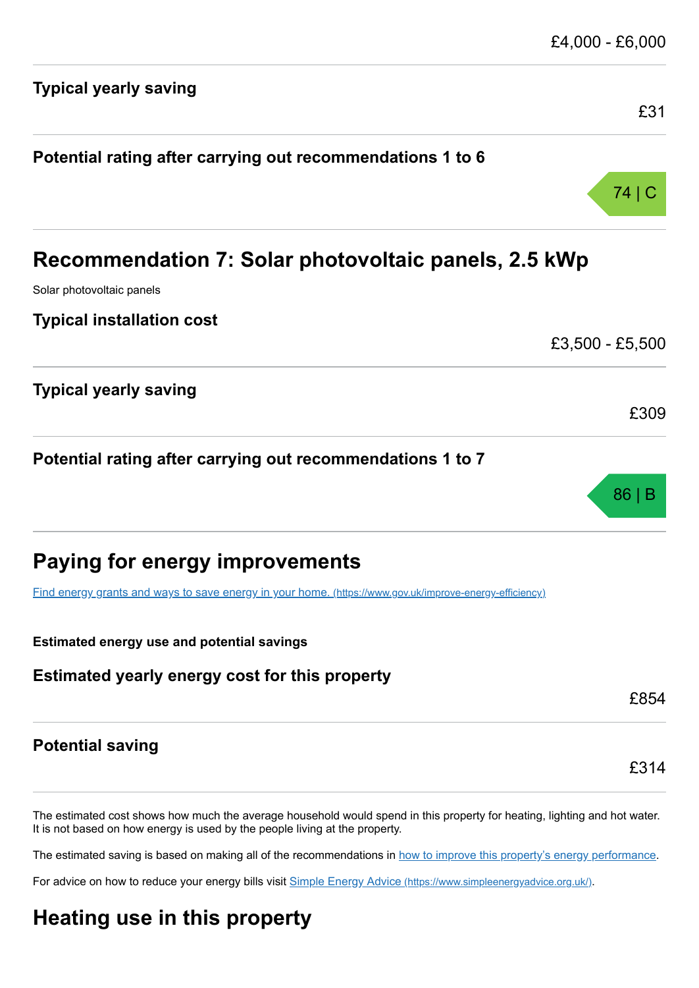| <b>Typical yearly saving</b>                                                                            |                 |
|---------------------------------------------------------------------------------------------------------|-----------------|
|                                                                                                         | £31             |
| Potential rating after carrying out recommendations 1 to 6                                              |                 |
|                                                                                                         | 74   C          |
| Recommendation 7: Solar photovoltaic panels, 2.5 kWp                                                    |                 |
| Solar photovoltaic panels                                                                               |                 |
| <b>Typical installation cost</b>                                                                        |                 |
|                                                                                                         | £3,500 - £5,500 |
| <b>Typical yearly saving</b>                                                                            |                 |
|                                                                                                         | £309            |
| Potential rating after carrying out recommendations 1 to 7                                              |                 |
|                                                                                                         | 86 B            |
| Paying for energy improvements                                                                          |                 |
| Find energy grants and ways to save energy in your home. (https://www.gov.uk/improve-energy-efficiency) |                 |
| <b>Estimated energy use and potential savings</b>                                                       |                 |
| Estimated yearly energy cost for this property                                                          |                 |
|                                                                                                         | £854            |
| <b>Potential saving</b>                                                                                 |                 |
|                                                                                                         | £314            |

£4,000 - £6,000

It is not based on how energy is used by the people living at the property.

The estimated saving is based on making all of the recommendations in [how to improve this property's energy performance.](#page-3-0)

For advice on how to reduce your energy bills visit Simple Energy Advice [\(https://www.simpleenergyadvice.org.uk/\)](https://www.simpleenergyadvice.org.uk/).

# **Heating use in this property**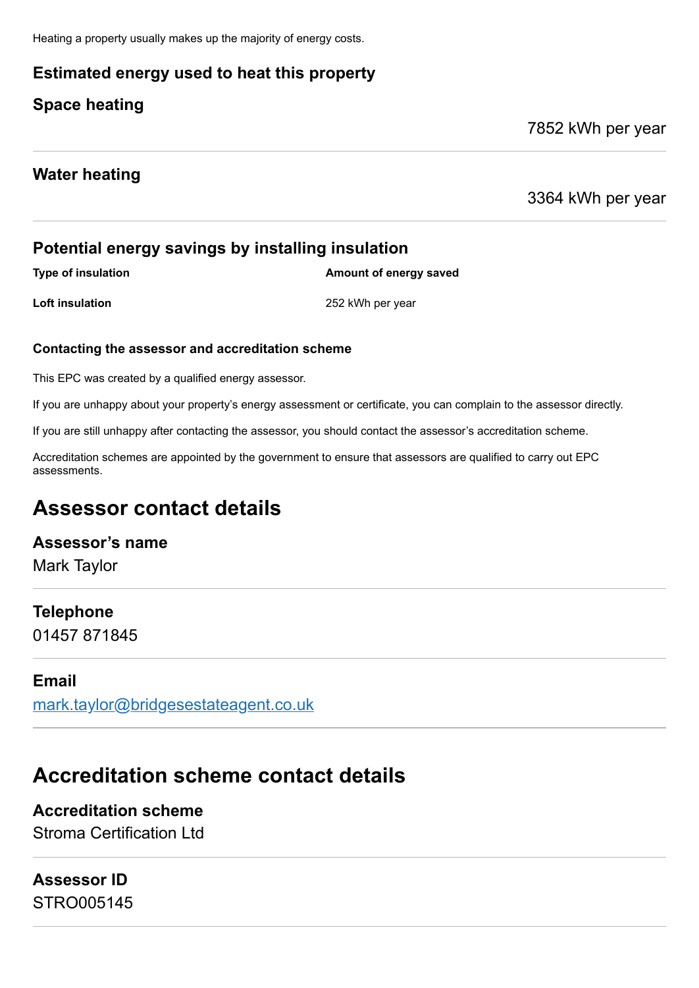Heating a property usually makes up the majority of energy costs.

### **Estimated energy used to heat this property**

### **Space heating**

7852 kWh per year

### **Water heating**

3364 kWh per year

### **Potential energy savings by installing insulation**

**Type of insulation Amount of energy saved** 

**Loft insulation** 252 kWh per year

#### **Contacting the assessor and accreditation scheme**

This EPC was created by a qualified energy assessor.

If you are unhappy about your property's energy assessment or certificate, you can complain to the assessor directly.

If you are still unhappy after contacting the assessor, you should contact the assessor's accreditation scheme.

Accreditation schemes are appointed by the government to ensure that assessors are qualified to carry out EPC assessments.

## **Assessor contact details**

### **Assessor's name**

Mark Taylor

### **Telephone**

01457 871845

### **Email**

[mark.taylor@bridgesestateagent.co.uk](mailto:mark.taylor@bridgesestateagent.co.uk)

# **Accreditation scheme contact details**

# **Accreditation scheme**

Stroma Certification Ltd

# **Assessor ID**

STRO005145